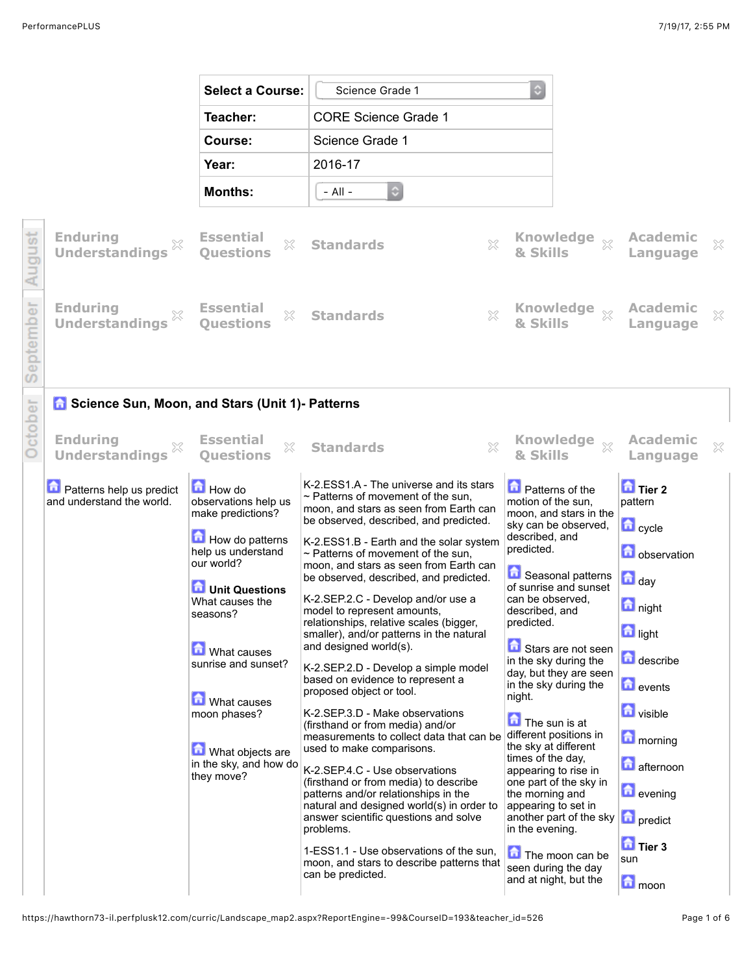|                                                                | <b>Select a Course:</b>                                                                                                                                                                                                                                                                                                 | Science Grade 1                                                                                                                                                                                                                                                                                                                                                                                                                                                                                                                                                                                                                                                                                                                                                                                                                                                                                                                                                                                                                                                                                                                   | ٥                                                                                                                                                                                                                                                                                                                                                                                                                                                                                                                                                                                                                                                   |                                                                                                                                                                                                                                                                                                                        |
|----------------------------------------------------------------|-------------------------------------------------------------------------------------------------------------------------------------------------------------------------------------------------------------------------------------------------------------------------------------------------------------------------|-----------------------------------------------------------------------------------------------------------------------------------------------------------------------------------------------------------------------------------------------------------------------------------------------------------------------------------------------------------------------------------------------------------------------------------------------------------------------------------------------------------------------------------------------------------------------------------------------------------------------------------------------------------------------------------------------------------------------------------------------------------------------------------------------------------------------------------------------------------------------------------------------------------------------------------------------------------------------------------------------------------------------------------------------------------------------------------------------------------------------------------|-----------------------------------------------------------------------------------------------------------------------------------------------------------------------------------------------------------------------------------------------------------------------------------------------------------------------------------------------------------------------------------------------------------------------------------------------------------------------------------------------------------------------------------------------------------------------------------------------------------------------------------------------------|------------------------------------------------------------------------------------------------------------------------------------------------------------------------------------------------------------------------------------------------------------------------------------------------------------------------|
|                                                                | Teacher:                                                                                                                                                                                                                                                                                                                | <b>CORE Science Grade 1</b>                                                                                                                                                                                                                                                                                                                                                                                                                                                                                                                                                                                                                                                                                                                                                                                                                                                                                                                                                                                                                                                                                                       |                                                                                                                                                                                                                                                                                                                                                                                                                                                                                                                                                                                                                                                     |                                                                                                                                                                                                                                                                                                                        |
|                                                                | Course:                                                                                                                                                                                                                                                                                                                 | Science Grade 1                                                                                                                                                                                                                                                                                                                                                                                                                                                                                                                                                                                                                                                                                                                                                                                                                                                                                                                                                                                                                                                                                                                   |                                                                                                                                                                                                                                                                                                                                                                                                                                                                                                                                                                                                                                                     |                                                                                                                                                                                                                                                                                                                        |
|                                                                | Year:                                                                                                                                                                                                                                                                                                                   | 2016-17                                                                                                                                                                                                                                                                                                                                                                                                                                                                                                                                                                                                                                                                                                                                                                                                                                                                                                                                                                                                                                                                                                                           |                                                                                                                                                                                                                                                                                                                                                                                                                                                                                                                                                                                                                                                     |                                                                                                                                                                                                                                                                                                                        |
|                                                                | <b>Months:</b>                                                                                                                                                                                                                                                                                                          | $\ddot{\circ}$<br>- All -                                                                                                                                                                                                                                                                                                                                                                                                                                                                                                                                                                                                                                                                                                                                                                                                                                                                                                                                                                                                                                                                                                         |                                                                                                                                                                                                                                                                                                                                                                                                                                                                                                                                                                                                                                                     |                                                                                                                                                                                                                                                                                                                        |
| <b>Enduring</b><br><b>Understandings</b>                       | <b>Essential</b><br>X<br><b>Ouestions</b>                                                                                                                                                                                                                                                                               | X<br><b>Standards</b>                                                                                                                                                                                                                                                                                                                                                                                                                                                                                                                                                                                                                                                                                                                                                                                                                                                                                                                                                                                                                                                                                                             | <b>Knowledge</b><br>$\chi$<br>& Skills                                                                                                                                                                                                                                                                                                                                                                                                                                                                                                                                                                                                              | <b>Academic</b><br>×<br>Language                                                                                                                                                                                                                                                                                       |
| <b>Enduring</b><br><b>Understandings</b>                       | <b>Essential</b><br>X<br><b>Ouestions</b>                                                                                                                                                                                                                                                                               | $\chi$<br><b>Standards</b>                                                                                                                                                                                                                                                                                                                                                                                                                                                                                                                                                                                                                                                                                                                                                                                                                                                                                                                                                                                                                                                                                                        | <b>Knowledge</b><br>$\chi$<br>& Skills                                                                                                                                                                                                                                                                                                                                                                                                                                                                                                                                                                                                              | <b>Academic</b><br>X<br>Language                                                                                                                                                                                                                                                                                       |
| <b>6</b> Science Sun, Moon, and Stars (Unit 1)- Patterns       |                                                                                                                                                                                                                                                                                                                         |                                                                                                                                                                                                                                                                                                                                                                                                                                                                                                                                                                                                                                                                                                                                                                                                                                                                                                                                                                                                                                                                                                                                   |                                                                                                                                                                                                                                                                                                                                                                                                                                                                                                                                                                                                                                                     |                                                                                                                                                                                                                                                                                                                        |
| <b>Enduring</b><br><b>Understandings</b>                       | <b>Essential</b><br>X<br><b>Ouestions</b>                                                                                                                                                                                                                                                                               | $\mathbb{X}$<br><b>Standards</b>                                                                                                                                                                                                                                                                                                                                                                                                                                                                                                                                                                                                                                                                                                                                                                                                                                                                                                                                                                                                                                                                                                  | <b>Knowledge</b><br>$\chi$<br>& Skills                                                                                                                                                                                                                                                                                                                                                                                                                                                                                                                                                                                                              | <b>Academic</b><br>X<br>Language                                                                                                                                                                                                                                                                                       |
| <b>D</b> Patterns help us predict<br>and understand the world. | How do<br>observations help us<br>make predictions?<br>How do patterns<br>help us understand<br>our world?<br><b>D</b> Unit Questions<br>What causes the<br>seasons?<br><b>M</b> What causes<br>sunrise and sunset?<br><b>M</b> What causes<br>moon phases?<br>What objects are<br>in the sky, and how do<br>they move? | K-2.ESS1.A - The universe and its stars<br>$\sim$ Patterns of movement of the sun,<br>moon, and stars as seen from Earth can<br>be observed, described, and predicted.<br>K-2.ESS1.B - Earth and the solar system<br>$\sim$ Patterns of movement of the sun.<br>moon, and stars as seen from Earth can<br>be observed, described, and predicted.<br>K-2.SEP.2.C - Develop and/or use a<br>model to represent amounts.<br>relationships, relative scales (bigger,<br>smaller), and/or patterns in the natural<br>and designed world(s).<br>K-2.SEP.2.D - Develop a simple model<br>based on evidence to represent a<br>proposed object or tool.<br>K-2.SEP.3.D - Make observations<br>(firsthand or from media) and/or<br>measurements to collect data that can be<br>used to make comparisons.<br>K-2.SEP.4.C - Use observations<br>(firsthand or from media) to describe<br>patterns and/or relationships in the<br>natural and designed world(s) in order to<br>answer scientific questions and solve<br>problems.<br>1-ESS1.1 - Use observations of the sun,<br>moon, and stars to describe patterns that<br>can be predicted. | <b>D</b> Patterns of the<br>motion of the sun,<br>moon, and stars in the<br>sky can be observed,<br>described, and<br>predicted.<br>Seasonal patterns<br>of sunrise and sunset<br>can be observed.<br>described, and<br>predicted.<br>Stars are not seen<br>in the sky during the<br>day, but they are seen<br>in the sky during the<br>night.<br>The sun is at<br>different positions in<br>the sky at different<br>times of the day,<br>appearing to rise in<br>one part of the sky in<br>the morning and<br>appearing to set in<br>another part of the sky<br>in the evening.<br>The moon can be<br>seen during the day<br>and at night, but the | $\mathbf{\hat{u}}$ Tier 2<br>pattern<br>$\Box$ cycle<br>observation<br>$\Box$ day<br><b>night</b><br><b>d</b> light<br>describe<br>$\blacksquare$ events<br><b>D</b> visible<br><b>n</b> morning<br><b>a</b> fternoon<br><b>D</b> evening<br><b>D</b> predict<br>$\overline{\mathbf{a}}$ Tier 3<br>sun<br><b>n</b> oon |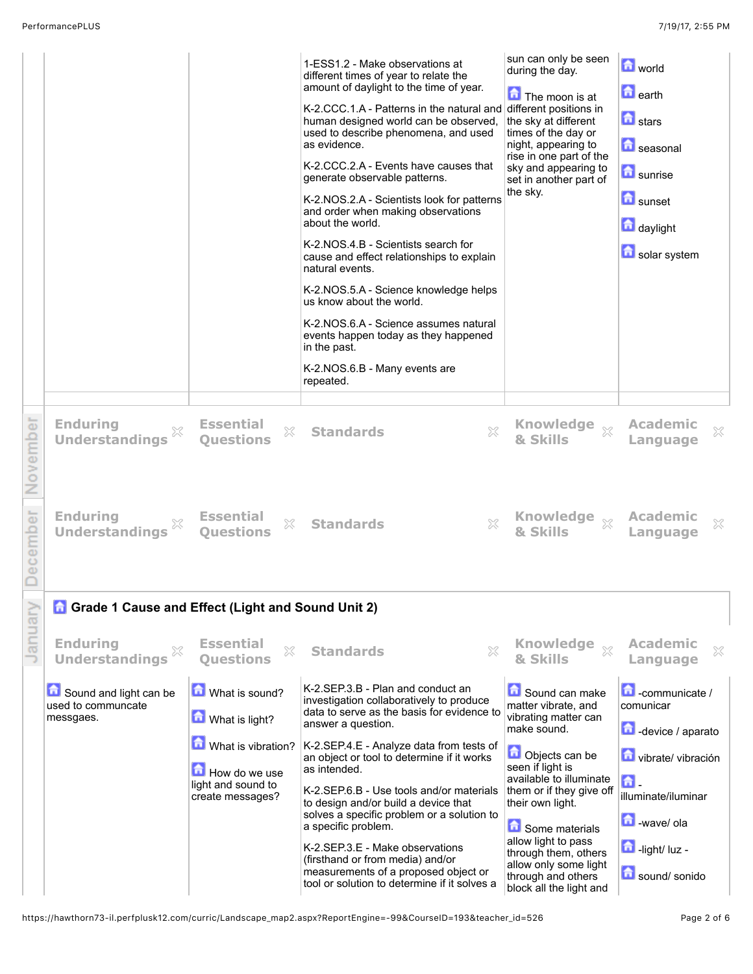|          | Sound and light can be<br>used to communcate<br>messgaes.                                              | What is sound?<br>What is light?<br>What is vibration?<br>How do we use<br>light and sound to | K-2.SEP.3.B - Plan and conduct an<br>investigation collaboratively to produce<br>data to serve as the basis for evidence to<br>answer a question.<br>K-2.SEP.4.E - Analyze data from tests of<br>an object or tool to determine if it works<br>as intended.                                                                                                                                                                                                      | Sound can make<br>matter vibrate, and<br>vibrating matter can<br>make sound.<br>Objects can be<br>seen if light is<br>available to illuminate                                      | $\Box$ -communicate /<br>comunicar<br>device / aparato<br>vibrate/vibración<br>奇 |
|----------|--------------------------------------------------------------------------------------------------------|-----------------------------------------------------------------------------------------------|------------------------------------------------------------------------------------------------------------------------------------------------------------------------------------------------------------------------------------------------------------------------------------------------------------------------------------------------------------------------------------------------------------------------------------------------------------------|------------------------------------------------------------------------------------------------------------------------------------------------------------------------------------|----------------------------------------------------------------------------------|
| January  | <b>G</b> Grade 1 Cause and Effect (Light and Sound Unit 2)<br><b>Enduring</b><br><b>Understandings</b> | <b>Essential</b><br>X<br><b>Ouestions</b>                                                     | <b>Standards</b><br>×                                                                                                                                                                                                                                                                                                                                                                                                                                            | <b>Knowledge</b><br>$\chi$<br>& Skills                                                                                                                                             | <b>Academic</b><br>×<br>Language                                                 |
| December | <b>Enduring</b><br><b>Understandings</b>                                                               | <b>Essential</b><br>$\mathbb{X}$<br><b>Ouestions</b>                                          | X<br><b>Standards</b>                                                                                                                                                                                                                                                                                                                                                                                                                                            | Knowledge xx<br>& Skills                                                                                                                                                           | <b>Academic</b><br>X<br>Language                                                 |
| November | <b>Enduring</b><br>×<br><b>Understandings</b>                                                          | <b>Essential</b><br>X<br><b>Ouestions</b>                                                     | X<br><b>Standards</b>                                                                                                                                                                                                                                                                                                                                                                                                                                            | Knowledge xx<br>& Skills                                                                                                                                                           | <b>Academic</b><br>X<br>Language                                                 |
|          |                                                                                                        |                                                                                               | generate observable patterns.<br>K-2.NOS.2.A - Scientists look for patterns<br>and order when making observations<br>about the world.<br>K-2.NOS.4.B - Scientists search for<br>cause and effect relationships to explain<br>natural events.<br>K-2.NOS.5.A - Science knowledge helps<br>us know about the world.<br>K-2.NOS.6.A - Science assumes natural<br>events happen today as they happened<br>in the past.<br>K-2.NOS.6.B - Many events are<br>repeated. | set in another part of<br>the sky.                                                                                                                                                 | <b>n</b> sunrise<br><b>D</b> sunset<br>daylight<br>solar system                  |
|          |                                                                                                        |                                                                                               | 1-ESS1.2 - Make observations at<br>different times of year to relate the<br>amount of daylight to the time of year.<br>K-2.CCC.1.A - Patterns in the natural and different positions in<br>human designed world can be observed,<br>used to describe phenomena, and used<br>as evidence.<br>K-2.CCC.2.A - Events have causes that                                                                                                                                | sun can only be seen<br>during the day.<br>The moon is at<br>the sky at different<br>times of the day or<br>night, appearing to<br>rise in one part of the<br>sky and appearing to | <b>D</b> world<br><b>n</b> earth<br><b>n</b> stars<br><b>D</b> seasonal          |

light and sound to create messages? K-2.SEP.6.B - Use tools and/or materials to design and/or build a device that solves a specific problem or a solution to a specific problem. K-2.SEP.3.E - Make observations (firsthand or from media) and/or measurements of a proposed object or tool or solution to determine if it solves a them or if they give off their own light. **Come materials** allow light to pass through them, others allow only some light through and others block all the light and illuminate/iluminar **b**-wave/ ola  $\blacksquare$ -light/ luz sound/ sonido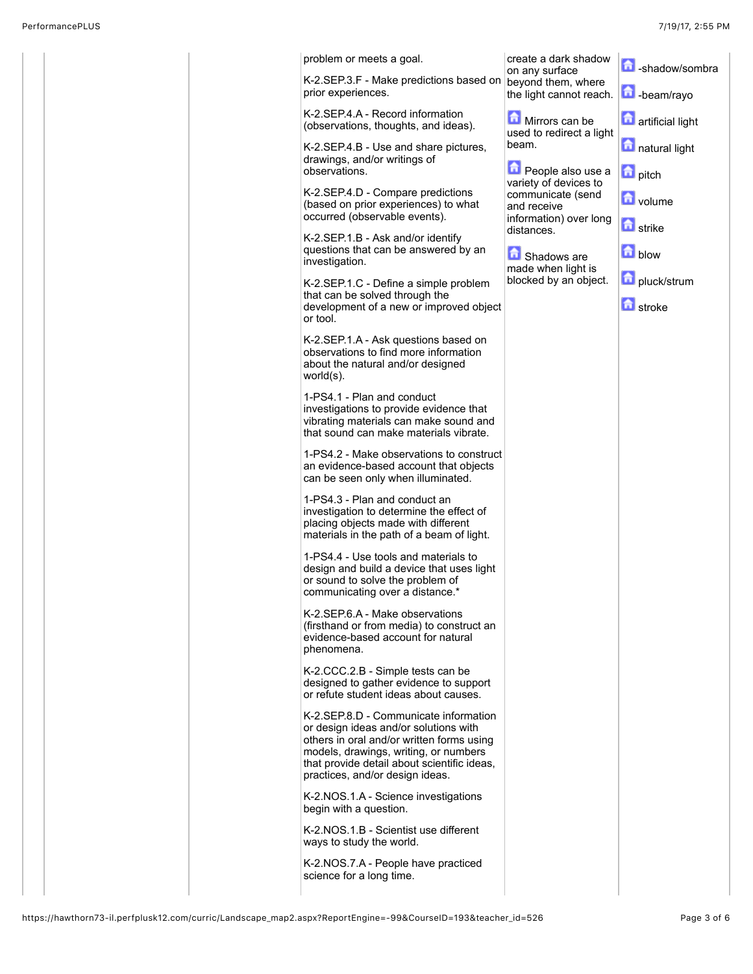|  | problem or meets a goal.                                                                                                                                                                                                                               | create a dark shadow<br>on any surface              | shadow/sombra             |
|--|--------------------------------------------------------------------------------------------------------------------------------------------------------------------------------------------------------------------------------------------------------|-----------------------------------------------------|---------------------------|
|  | K-2.SEP.3.F - Make predictions based on<br>prior experiences.                                                                                                                                                                                          | beyond them, where<br>the light cannot reach.       | <b>h</b> -beam/rayo       |
|  | K-2.SEP.4.A - Record information<br>(observations, thoughts, and ideas).                                                                                                                                                                               | Mirrors can be<br>used to redirect a light          | <b>n</b> artificial light |
|  | K-2.SEP.4.B - Use and share pictures,<br>drawings, and/or writings of                                                                                                                                                                                  | beam.                                               | natural light             |
|  | observations.                                                                                                                                                                                                                                          | <b>D</b> People also use a<br>variety of devices to | <b>n</b> pitch            |
|  | K-2.SEP.4.D - Compare predictions<br>(based on prior experiences) to what<br>occurred (observable events).                                                                                                                                             | communicate (send<br>and receive                    | volume                    |
|  | K-2.SEP.1.B - Ask and/or identify                                                                                                                                                                                                                      | information) over long<br>distances.                | <b>d</b> strike           |
|  | questions that can be answered by an<br>investigation.                                                                                                                                                                                                 | Shadows are<br>made when light is                   | <b>n</b> blow             |
|  | K-2.SEP.1.C - Define a simple problem<br>that can be solved through the                                                                                                                                                                                | blocked by an object.                               | pluck/strum               |
|  | development of a new or improved object<br>or tool.                                                                                                                                                                                                    |                                                     | <b>d</b> stroke           |
|  | K-2.SEP.1.A - Ask questions based on<br>observations to find more information<br>about the natural and/or designed<br>world(s).                                                                                                                        |                                                     |                           |
|  | 1-PS4.1 - Plan and conduct<br>investigations to provide evidence that<br>vibrating materials can make sound and<br>that sound can make materials vibrate.                                                                                              |                                                     |                           |
|  | 1-PS4.2 - Make observations to construct<br>an evidence-based account that objects<br>can be seen only when illuminated.                                                                                                                               |                                                     |                           |
|  | 1-PS4.3 - Plan and conduct an<br>investigation to determine the effect of<br>placing objects made with different<br>materials in the path of a beam of light.                                                                                          |                                                     |                           |
|  | 1-PS4.4 - Use tools and materials to<br>design and build a device that uses light<br>or sound to solve the problem of<br>communicating over a distance.*                                                                                               |                                                     |                           |
|  | K-2.SEP.6.A - Make observations<br>(firsthand or from media) to construct an<br>evidence-based account for natural<br>phenomena.                                                                                                                       |                                                     |                           |
|  | K-2.CCC.2.B - Simple tests can be<br>designed to gather evidence to support<br>or refute student ideas about causes.                                                                                                                                   |                                                     |                           |
|  | K-2.SEP.8.D - Communicate information<br>or design ideas and/or solutions with<br>others in oral and/or written forms using<br>models, drawings, writing, or numbers<br>that provide detail about scientific ideas,<br>practices, and/or design ideas. |                                                     |                           |
|  | K-2.NOS.1.A - Science investigations<br>begin with a question.                                                                                                                                                                                         |                                                     |                           |
|  | K-2.NOS.1.B - Scientist use different<br>ways to study the world.                                                                                                                                                                                      |                                                     |                           |
|  | K-2.NOS.7.A - People have practiced<br>science for a long time.                                                                                                                                                                                        |                                                     |                           |
|  |                                                                                                                                                                                                                                                        |                                                     |                           |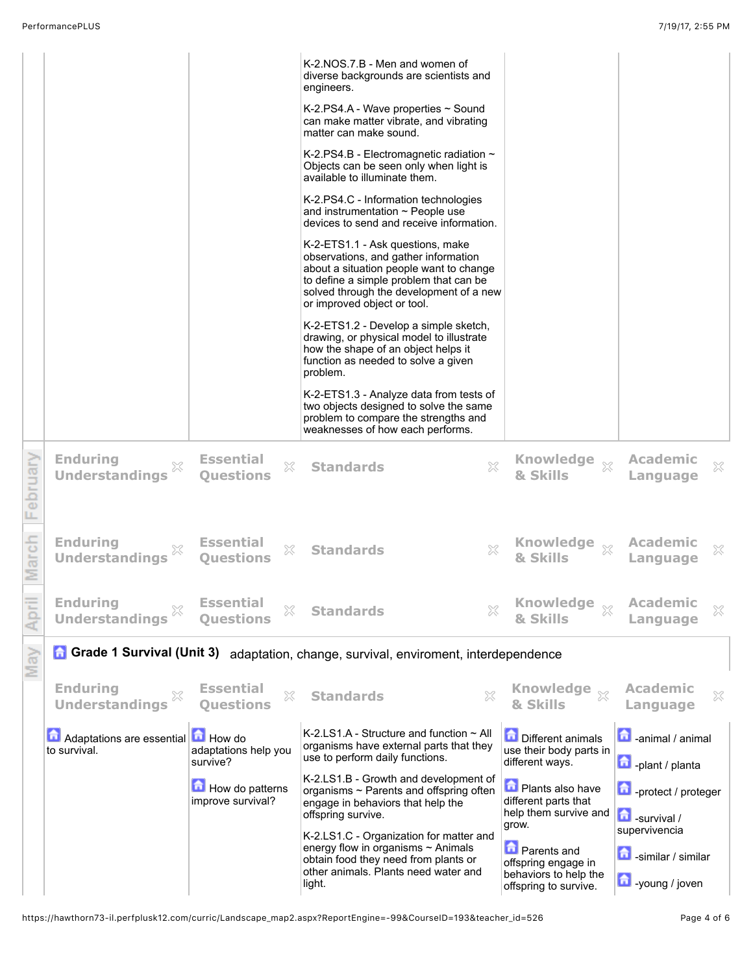|         |                                                                                     |                                                   | K-2.NOS.7.B - Men and women of<br>diverse backgrounds are scientists and                                                                                                                                                                |                                                                          |                                             |  |  |  |  |
|---------|-------------------------------------------------------------------------------------|---------------------------------------------------|-----------------------------------------------------------------------------------------------------------------------------------------------------------------------------------------------------------------------------------------|--------------------------------------------------------------------------|---------------------------------------------|--|--|--|--|
|         |                                                                                     |                                                   | engineers.<br>K-2.PS4.A - Wave properties $\sim$ Sound                                                                                                                                                                                  |                                                                          |                                             |  |  |  |  |
|         |                                                                                     |                                                   | can make matter vibrate, and vibrating<br>matter can make sound.                                                                                                                                                                        |                                                                          |                                             |  |  |  |  |
|         |                                                                                     |                                                   | K-2.PS4.B - Electromagnetic radiation $\sim$<br>Objects can be seen only when light is<br>available to illuminate them.                                                                                                                 |                                                                          |                                             |  |  |  |  |
|         |                                                                                     |                                                   | K-2.PS4.C - Information technologies<br>and instrumentation $\sim$ People use<br>devices to send and receive information.                                                                                                               |                                                                          |                                             |  |  |  |  |
|         |                                                                                     |                                                   | K-2-ETS1.1 - Ask questions, make<br>observations, and gather information<br>about a situation people want to change<br>to define a simple problem that can be<br>solved through the development of a new<br>or improved object or tool. |                                                                          |                                             |  |  |  |  |
|         |                                                                                     |                                                   | K-2-ETS1.2 - Develop a simple sketch,<br>drawing, or physical model to illustrate<br>how the shape of an object helps it<br>function as needed to solve a given<br>problem.                                                             |                                                                          |                                             |  |  |  |  |
|         |                                                                                     |                                                   | K-2-ETS1.3 - Analyze data from tests of<br>two objects designed to solve the same<br>problem to compare the strengths and<br>weaknesses of how each performs.                                                                           |                                                                          |                                             |  |  |  |  |
| ebruary | <b>Enduring</b><br>×<br><b>Understandings</b>                                       | <b>Essential</b><br>X<br><b>Questions</b>         | X<br><b>Standards</b>                                                                                                                                                                                                                   | <b>Knowledge</b><br>$\chi$<br>& Skills                                   | <b>Academic</b><br>X<br>Language            |  |  |  |  |
| March   | <b>Enduring</b><br>×<br><b>Understandings</b>                                       | <b>Essential</b><br>X<br><b>Ouestions</b>         | X<br><b>Standards</b>                                                                                                                                                                                                                   | Knowledge xx<br>& Skills                                                 | <b>Academic</b><br>X<br>Language            |  |  |  |  |
|         | <b>Enduring</b><br>×<br><b>Understandings</b>                                       | <b>Essential</b><br>X<br><b>Questions</b>         | ×<br><b>Standards</b>                                                                                                                                                                                                                   | <b>Knowledge</b><br>$\gg$<br>& Skills                                    | Academic<br>×<br>Language                   |  |  |  |  |
| Mav     | Grade 1 Survival (Unit 3) adaptation, change, survival, enviroment, interdependence |                                                   |                                                                                                                                                                                                                                         |                                                                          |                                             |  |  |  |  |
|         | <b>Enduring</b><br><b>Understandings</b>                                            | <b>Essential</b><br>X<br><b>Ouestions</b>         | X<br><b>Standards</b>                                                                                                                                                                                                                   | <b>Knowledge</b><br>$\chi$<br>& Skills                                   | <b>Academic</b><br>×<br>Language            |  |  |  |  |
|         | Adaptations are essential<br>to survival.                                           | <b>How</b> do<br>adaptations help you<br>survive? | K-2.LS1.A - Structure and function $\sim$ All<br>organisms have external parts that they<br>use to perform daily functions.                                                                                                             | <b>Different animals</b><br>use their body parts in<br>different ways.   | animal / animal<br>plant / planta           |  |  |  |  |
|         |                                                                                     | How do patterns<br>improve survival?              | K-2.LS1.B - Growth and development of<br>organisms ~ Parents and offspring often<br>engage in behaviors that help the<br>offspring survive.                                                                                             | <b>Plants also have</b><br>different parts that<br>help them survive and | protect / proteger                          |  |  |  |  |
|         |                                                                                     |                                                   | K-2.LS1.C - Organization for matter and                                                                                                                                                                                                 | grow.                                                                    | $\blacksquare$ -survival /<br>supervivencia |  |  |  |  |
|         |                                                                                     |                                                   | energy flow in organisms $\sim$ Animals<br>obtain food they need from plants or<br>other animals. Plants need water and                                                                                                                 | <b>D</b> Parents and<br>offspring engage in                              | 尙<br>-similar / similar                     |  |  |  |  |
|         |                                                                                     |                                                   | light.                                                                                                                                                                                                                                  | behaviors to help the<br>offspring to survive.                           | voung / joven                               |  |  |  |  |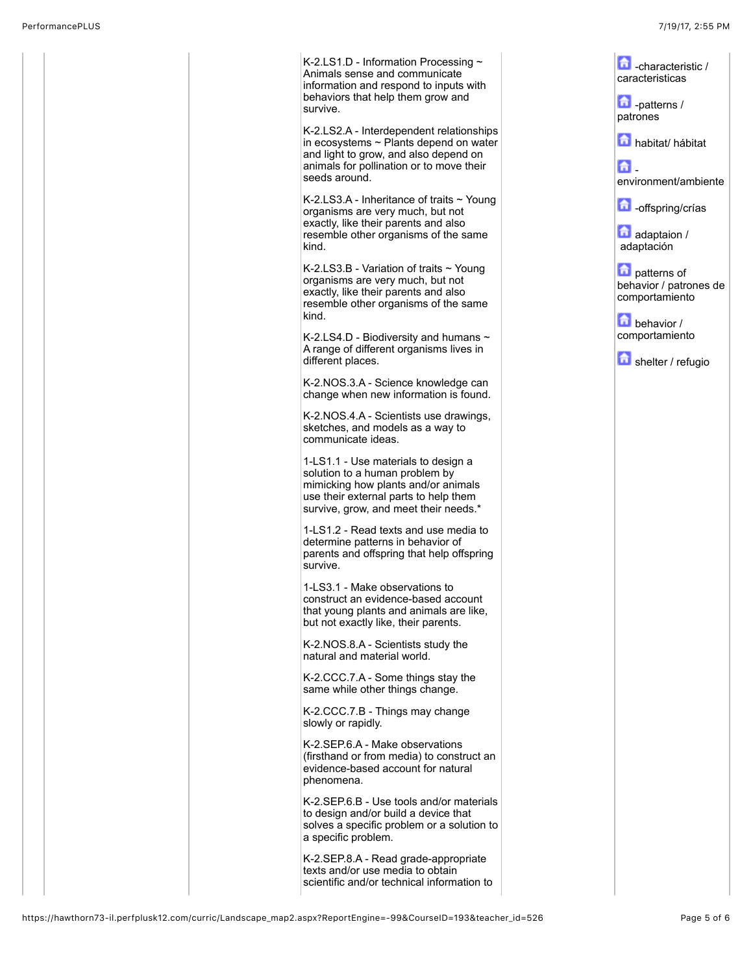